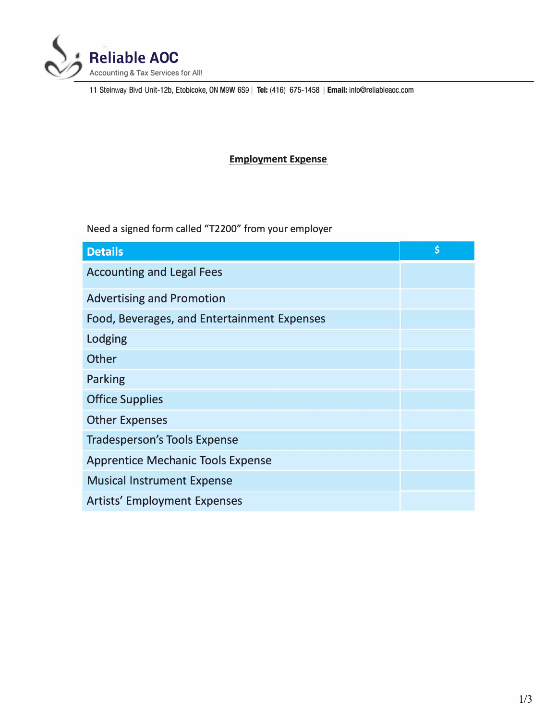

11 Steinway Blvd Unit-12b, Etobicoke, ON M9W 6S<sup>9</sup> I **Tel:** (416) 675-1458 I **Email:** info@reliableaoc.com

## **Employment Expense**

Need a signed form called "T2200" from your employer

| <b>Details</b>                              | \$ |
|---------------------------------------------|----|
| <b>Accounting and Legal Fees</b>            |    |
| <b>Advertising and Promotion</b>            |    |
| Food, Beverages, and Entertainment Expenses |    |
| Lodging                                     |    |
| Other                                       |    |
| Parking                                     |    |
| <b>Office Supplies</b>                      |    |
| <b>Other Expenses</b>                       |    |
| <b>Tradesperson's Tools Expense</b>         |    |
| <b>Apprentice Mechanic Tools Expense</b>    |    |
| <b>Musical Instrument Expense</b>           |    |
| <b>Artists' Employment Expenses</b>         |    |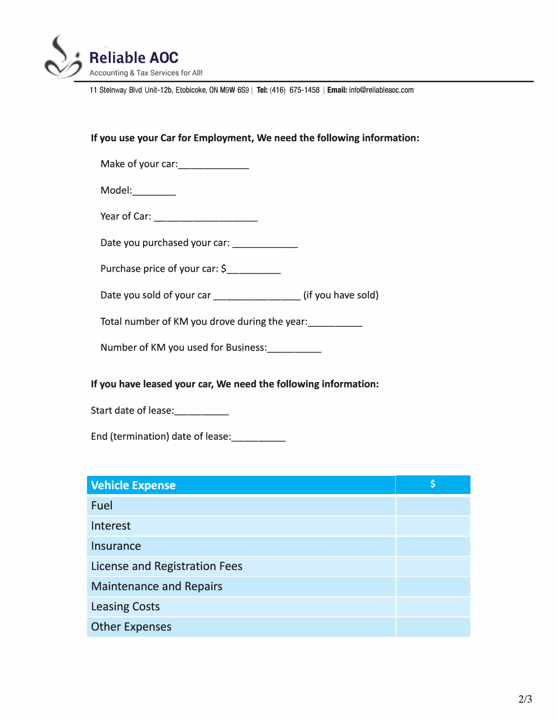

11 Steinway Blvd Unit-12b, Etobicoke, ON M9W 6S<sup>9</sup> I **Tel:** (416) 675-1458 I **Email:** info@reliableaoc.com

## **If you use your Car for Employment, We need the following information:**

Make of your car: \_\_\_\_\_\_\_\_\_\_\_\_

Model:\_\_\_\_\_\_\_\_

Year of Car: expression of Cars and the set of Cars and the set of the set of the set of the set of the set of the set of the set of the set of the set of the set of the set of the set of the set of the set of the set of t

Date you purchased your car: \_\_\_\_\_\_\_\_\_\_\_\_

Purchase price of your car: \$

Date you sold of your car \_\_\_\_\_\_\_\_\_\_\_\_\_\_\_(if you have sold)

Total number of KM you drove during the year:<br>

Number of KM you used for Business: \_\_\_ \_

## **If you have leased your car, We need the following information:**

Start date of lease:

End (termination) date of lease:

| <b>Vehicle Expense</b>               | Ś |
|--------------------------------------|---|
| Fuel                                 |   |
| Interest                             |   |
| Insurance                            |   |
| <b>License and Registration Fees</b> |   |
| <b>Maintenance and Repairs</b>       |   |
| <b>Leasing Costs</b>                 |   |
| <b>Other Expenses</b>                |   |